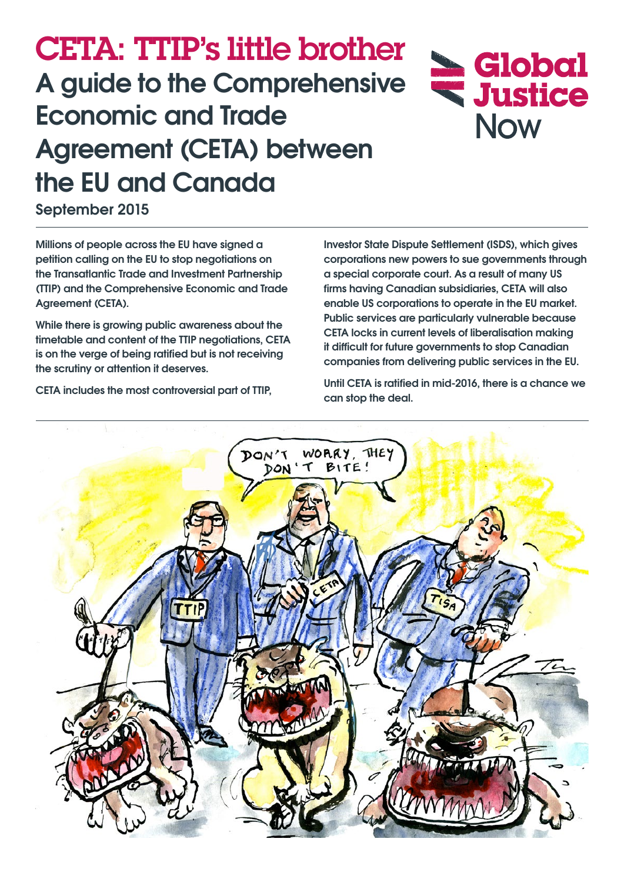# CETA: TTIP's little brother **A guide to the Comprehensive Economic and Trade Agreement (CETA) between the EU and Canada**

**September 2015**

**Millions of people across the EU have signed a petition calling on the EU to stop negotiations on the Transatlantic Trade and Investment Partnership (TTIP) and the Comprehensive Economic and Trade Agreement (CETA).**

**While there is growing public awareness about the timetable and content of the TTIP negotiations, CETA is on the verge of being ratified but is not receiving the scrutiny or attention it deserves.**

**Investor State Dispute Settlement (ISDS), which gives corporations new powers to sue governments through a special corporate court. As a result of many US firms having Canadian subsidiaries, CETA will also enable US corporations to operate in the EU market. Public services are particularly vulnerable because CETA locks in current levels of liberalisation making it difficult for future governments to stop Canadian companies from delivering public services in the EU.**

**Global**<br>**Wistice** 

**Now** 

**Until CETA is ratified in mid-2016, there is a chance we can stop the deal.**



**CETA includes the most controversial part of TTIP,**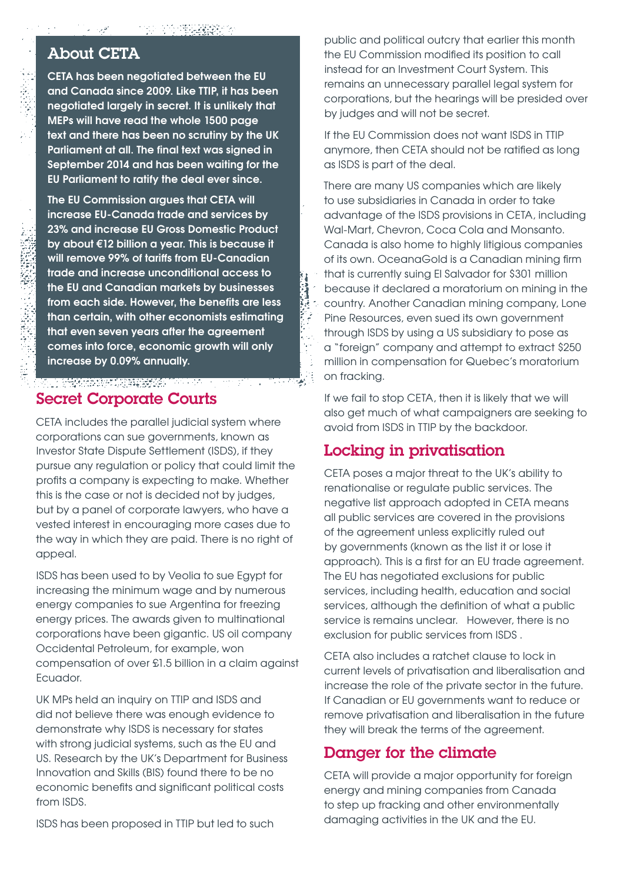#### About CETA

**CETA has been negotiated between the EU and Canada since 2009. Like TTIP, it has been negotiated largely in secret. It is unlikely that MEPs will have read the whole 1500 page text and there has been no scrutiny by the UK Parliament at all. The final text was signed in September 2014 and has been waiting for the EU Parliament to ratify the deal ever since.** 

**The EU Commission argues that CETA will increase EU-Canada trade and services by 23% and increase EU Gross Domestic Product by about €12 billion a year. This is because it will remove 99% of tariffs from EU-Canadian trade and increase unconditional access to the EU and Canadian markets by businesses from each side. However, the benefits are less than certain, with other economists estimating that even seven years after the agreement comes into force, economic growth will only increase by 0.09% annually.**

### Secret Corporate Courts

CETA includes the parallel judicial system where corporations can sue governments, known as Investor State Dispute Settlement (ISDS), if they pursue any regulation or policy that could limit the profits a company is expecting to make. Whether this is the case or not is decided not by judges, but by a panel of corporate lawyers, who have a vested interest in encouraging more cases due to the way in which they are paid. There is no right of appeal.

97 G.W

ISDS has been used to by Veolia to sue Egypt for increasing the minimum wage and by numerous energy companies to sue Argentina for freezing energy prices. The awards given to multinational corporations have been gigantic. US oil company Occidental Petroleum, for example, won compensation of over £1.5 billion in a claim against Ecuador.

UK MPs held an inquiry on TTIP and ISDS and did not believe there was enough evidence to demonstrate why ISDS is necessary for states with strong judicial systems, such as the EU and US. Research by the UK's Department for Business Innovation and Skills (BIS) found there to be no economic benefits and significant political costs from ISDS.

ISDS has been proposed in TTIP but led to such

public and political outcry that earlier this month the EU Commission modified its position to call instead for an Investment Court System. This remains an unnecessary parallel legal system for corporations, but the hearings will be presided over by judges and will not be secret.

If the EU Commission does not want ISDS in TTIP anymore, then CETA should not be ratified as long as ISDS is part of the deal.

There are many US companies which are likely to use subsidiaries in Canada in order to take advantage of the ISDS provisions in CETA, including Wal-Mart, Chevron, Coca Cola and Monsanto. Canada is also home to highly litigious companies of its own. OceanaGold is a Canadian mining firm that is currently suing El Salvador for \$301 million because it declared a moratorium on mining in the country. Another Canadian mining company, Lone Pine Resources, even sued its own government through ISDS by using a US subsidiary to pose as a "foreign" company and attempt to extract \$250 million in compensation for Quebec's moratorium on fracking.

If we fail to stop CETA, then it is likely that we will also get much of what campaigners are seeking to avoid from ISDS in TTIP by the backdoor.

# Locking in privatisation

CETA poses a major threat to the UK's ability to renationalise or regulate public services. The negative list approach adopted in CETA means all public services are covered in the provisions of the agreement unless explicitly ruled out by governments (known as the list it or lose it approach). This is a first for an EU trade agreement. The EU has negotiated exclusions for public services, including health, education and social services, although the definition of what a public service is remains unclear. However, there is no exclusion for public services from ISDS .

CETA also includes a ratchet clause to lock in current levels of privatisation and liberalisation and increase the role of the private sector in the future. If Canadian or EU governments want to reduce or remove privatisation and liberalisation in the future they will break the terms of the agreement.

# Danger for the climate

CETA will provide a major opportunity for foreign energy and mining companies from Canada to step up fracking and other environmentally damaging activities in the UK and the EU.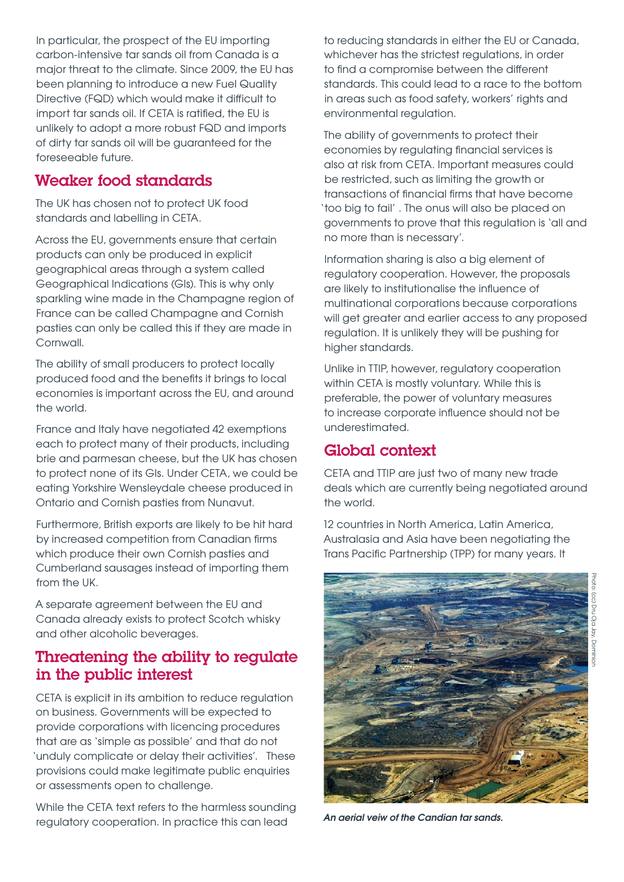In particular, the prospect of the EU importing carbon-intensive tar sands oil from Canada is a major threat to the climate. Since 2009, the EU has been planning to introduce a new Fuel Quality Directive (FQD) which would make it difficult to import tar sands oil. If CETA is ratified, the EU is unlikely to adopt a more robust FQD and imports of dirty tar sands oil will be guaranteed for the foreseeable future.

#### Weaker food standards

The UK has chosen not to protect UK food standards and labelling in CETA.

Across the EU, governments ensure that certain products can only be produced in explicit geographical areas through a system called Geographical Indications (GIs). This is why only sparkling wine made in the Champagne region of France can be called Champagne and Cornish pasties can only be called this if they are made in Cornwall.

The ability of small producers to protect locally produced food and the benefits it brings to local economies is important across the EU, and around the world.

France and Italy have negotiated 42 exemptions each to protect many of their products, including brie and parmesan cheese, but the UK has chosen to protect none of its GIs. Under CETA, we could be eating Yorkshire Wensleydale cheese produced in Ontario and Cornish pasties from Nunavut.

Furthermore, British exports are likely to be hit hard by increased competition from Canadian firms which produce their own Cornish pasties and Cumberland sausages instead of importing them from the UK.

A separate agreement between the EU and Canada already exists to protect Scotch whisky and other alcoholic beverages.

#### Threatening the ability to regulate in the public interest

CETA is explicit in its ambition to reduce regulation on business. Governments will be expected to provide corporations with licencing procedures that are as 'simple as possible' and that do not 'unduly complicate or delay their activities'. These provisions could make legitimate public enquiries or assessments open to challenge.

While the CETA text refers to the harmless sounding regulatory cooperation. In practice this can lead

to reducing standards in either the EU or Canada, whichever has the strictest regulations, in order to find a compromise between the different standards. This could lead to a race to the bottom in areas such as food safety, workers' rights and environmental regulation.

The ability of governments to protect their economies by regulating financial services is also at risk from CETA. Important measures could be restricted, such as limiting the growth or transactions of financial firms that have become 'too big to fail' . The onus will also be placed on governments to prove that this regulation is 'all and no more than is necessary'.

Information sharing is also a big element of regulatory cooperation. However, the proposals are likely to institutionalise the influence of multinational corporations because corporations will get greater and earlier access to any proposed regulation. It is unlikely they will be pushing for higher standards.

Unlike in TTIP, however, regulatory cooperation within CETA is mostly voluntary. While this is preferable, the power of voluntary measures to increase corporate influence should not be underestimated.

# Global context

CETA and TTIP are just two of many new trade deals which are currently being negotiated around the world.

12 countries in North America, Latin America, Australasia and Asia have been negotiating the Trans Pacific Partnership (TPP) for many years. It



*An aerial veiw of the Candian tar sands.*